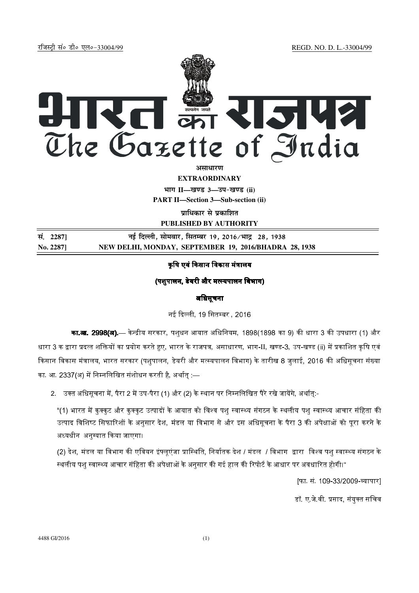jftLVªh laö Mhö ,yö&33004@99 REGD. NO. D. L.-33004/99



**EXTRAORDINARY Hkkx II—[k.M 3—mi&[k.M (ii)**

**PART II—Section 3—Sub-section (ii)** 

**पाधिकार से प्रकाशित PUBLISHED BY AUTHORITY**

**la- 2287] ubZ fnYyh] lkseokj] flrEcj 19] 2016@Hkkæ 28] 1938 No. 2287] NEW DELHI, MONDAY, SEPTEMBER 19, 2016/BHADRA 28, 1938**

# कषि एवं किसान विकास मंत्रालय

# (पशपालन, डेयरी और मत्स्यपालन विभाग)

# अधिसूचना

नई दिल्ली, 19 सितम्बर , 2016 |

का.**आ. 2998(अ).**— केन्द्रीय सरकार, पशुधन आयात अधिनियम, 1898(1898 का 9) की धारा 3 की उपधारा (1) और धारा 3 क द्वारा प्रदत्त शक्तियों का प्रयोग करते हुए, भारत के राजपत्र, असाधारण, भाग-II, खण्ड-3, उप-खण्ड (ii) में प्रकाशित कृषि एवं किसान विकास मंत्रालय, भारत सरकार (पशुपालन, डेयरी और मत्स्यपालन विभाग) के तारीख 8 जुलाई, 2016 की अधिसूचना संख्या का. आ. 2337(अ) में निम्नलिखित संशोधन करती है, अर्थात :—

2. उक्त अधिसूचना में, पैरा 2 में उप-पैरा (1) और (2) के स्थान पर निम्नलिखित पैरे रखे जायेंगे, अर्थात्:-

"(1) भारत में कक्कट और कक्कट उत्पादों के आयात को विश्व पश स्वास्थ्य संगठन के स्थलीय पश स्वास्थ्य आचार संहिता की उत्पाद विशिष्ट सिफारिशों के अनसार देश. मंडल या विभाग से और इस अधिसचना के पैरा 3 की अपेक्षाओं को परा करने के अध्यधीन अनुग्यात किया जाएगा।

(2) देश. मंडल या विभाग की एवियन इंफ्लएंजा प्रास्थिति. निर्यातक देश / मंडल / विभाग द्वारा विश्व पश स्वास्थ्य संगठन के स्थलीय पश् स्वास्थ्य आचार संहिता की अपेक्षाओं के अनुसार की गई हाल की रिपोर्ट के आधार पर अवधारित होगी।"

[फा. सं. 109-33/2009-व्यापार]

डॉ. ए जे.वी. प्रसाद, संयक्त सचिव<sup>.</sup>